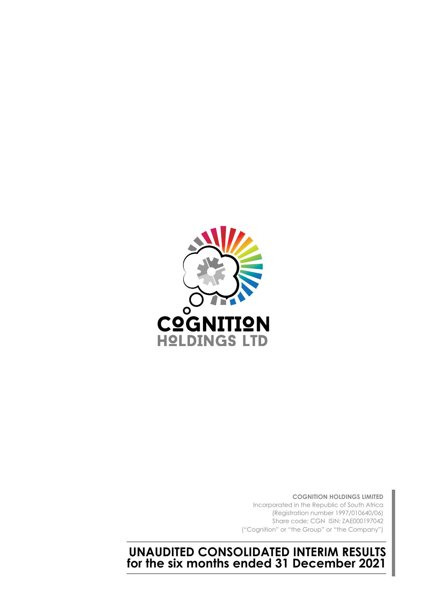

**COGNITION HOLDINGS LIMITED** Incorporated in the Republic of South Africa (Registration number 1997/010640/06) Share code: CGN ISIN: ZAE000197042 ("Cognition" or "the Group" or "the Company")

**UNAUDITED CONSOLIDATED INTERIM RESULTS for the six months ended 31 December 2021**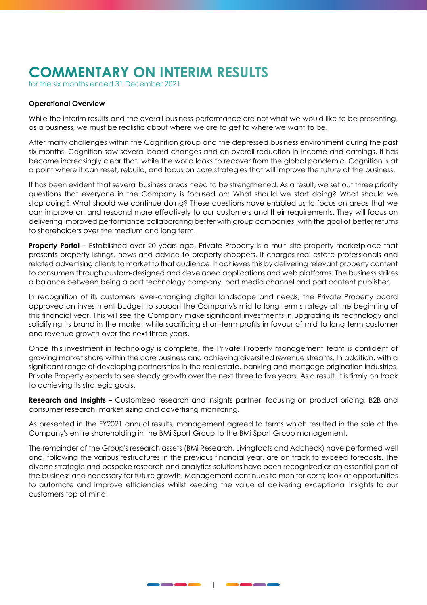# **COMMENTARY ON INTERIM RESULTS**

for the six months ended 31 December 2021

#### **Operational Overview**

While the interim results and the overall business performance are not what we would like to be presenting, as a business, we must be realistic about where we are to get to where we want to be.

After many challenges within the Cognition group and the depressed business environment during the past six months, Cognition saw several board changes and an overall reduction in income and earnings. It has become increasingly clear that, while the world looks to recover from the global pandemic, Cognition is at a point where it can reset, rebuild, and focus on core strategies that will improve the future of the business.

It has been evident that several business areas need to be strengthened. As a result, we set out three priority questions that everyone in the Company is focused on: What should we start doing? What should we stop doing? What should we continue doing? These questions have enabled us to focus on areas that we can improve on and respond more effectively to our customers and their requirements. They will focus on delivering improved performance collaborating better with group companies, with the goal of better returns to shareholders over the medium and long term.

**Property Portal –** Established over 20 years ago, Private Property is a multi-site property marketplace that presents property listings, news and advice to property shoppers. It charges real estate professionals and related advertising clients to market to that audience. It achieves this by delivering relevant property content to consumers through custom-designed and developed applications and web platforms. The business strikes a balance between being a part technology company, part media channel and part content publisher.

In recognition of its customers' ever-changing digital landscape and needs, the Private Property board approved an investment budget to support the Company's mid to long term strategy at the beginning of this financial year. This will see the Company make significant investments in upgrading its technology and solidifying its brand in the market while sacrificing short-term profits in favour of mid to long term customer and revenue growth over the next three years.

Once this investment in technology is complete, the Private Property management team is confident of growing market share within the core business and achieving diversified revenue streams. In addition, with a significant range of developing partnerships in the real estate, banking and mortgage origination industries, Private Property expects to see steady growth over the next three to five years. As a result, it is firmly on track to achieving its strategic goals.

**Research and Insights –** Customized research and insights partner, focusing on product pricing, B2B and consumer research, market sizing and advertising monitoring.

As presented in the FY2021 annual results, management agreed to terms which resulted in the sale of the Company's entire shareholding in the BMi Sport Group to the BMi Sport Group management.

The remainder of the Group's research assets (BMi Research, Livingfacts and Adcheck) have performed well and, following the various restructures in the previous financial year, are on track to exceed forecasts. The diverse strategic and bespoke research and analytics solutions have been recognized as an essential part of the business and necessary for future growth. Management continues to monitor costs; look at opportunities to automate and improve efficiencies whilst keeping the value of delivering exceptional insights to our customers top of mind.

1

<u>and an an</u>

---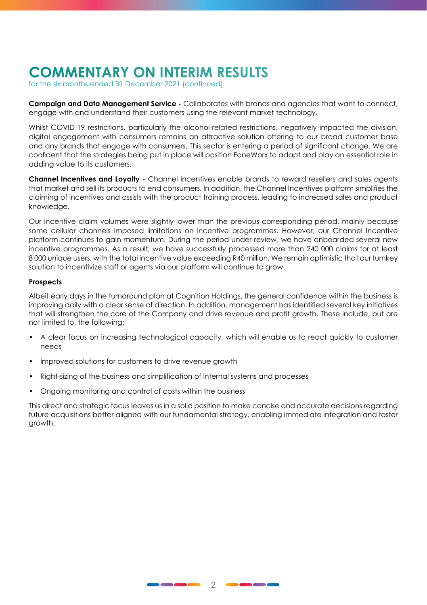# **COMMENTARY ON INTERIM RESULTS**

for the six months ended 31 December 2021 (continued)

**Campaign and Data Management Service -** Collaborates with brands and agencies that want to connect, engage with and understand their customers using the relevant market technology.

Whilst COVID-19 restrictions, particularly the alcohol-related restrictions, negatively impacted the division, digital engagement with consumers remains an attractive solution offering to our broad customer base and any brands that engage with consumers. This sector is entering a period of significant change. We are confident that the strategies being put in place will position FoneWorx to adapt and play an essential role in adding value to its customers.

**Channel Incentives and Loyalty -** Channel Incentives enable brands to reward resellers and sales agents that market and sell its products to end consumers. In addition, the Channel Incentives platform simplifies the claiming of incentives and assists with the product training process, leading to increased sales and product knowledge.

Our incentive claim volumes were slightly lower than the previous corresponding period, mainly because some cellular channels imposed limitations on incentive programmes. However, our Channel Incentive platform continues to gain momentum. During the period under review, we have onboarded several new incentive programmes. As a result, we have successfully processed more than 240 000 claims for at least 8 000 unique users, with the total incentive value exceeding R40 million. We remain optimistic that our turnkey solution to incentivize staff or agents via our platform will continue to grow.

#### **Prospects**

Albeit early days in the turnaround plan at Cognition Holdings, the general confidence within the business is improving daily with a clear sense of direction. In addition, management has identified several key initiatives that will strengthen the core of the Company and drive revenue and profit growth. These include, but are not limited to, the following:

- A clear focus on increasing technological capacity, which will enable us to react quickly to customer needs
- Improved solutions for customers to drive revenue growth
- Right-sizing of the business and simplification of internal systems and processes
- Ongoing monitoring and control of costs within the business

This direct and strategic focus leaves us in a solid position to make concise and accurate decisions regarding future acquisitions better aligned with our fundamental strategy, enabling immediate integration and faster growth.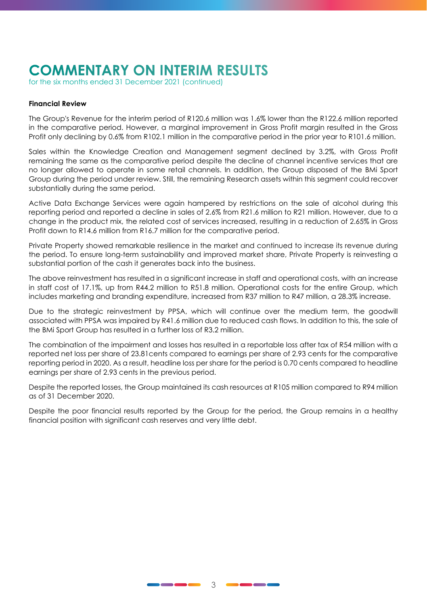# **COMMENTARY ON INTERIM RESULTS**

for the six months ended 31 December 2021 (continued)

#### **Financial Review**

The Group's Revenue for the interim period of R120.6 million was 1.6% lower than the R122.6 million reported in the comparative period. However, a marginal improvement in Gross Profit margin resulted in the Gross Profit only declining by 0.6% from R102.1 million in the comparative period in the prior year to R101.6 million.

Sales within the Knowledge Creation and Management segment declined by 3.2%, with Gross Profit remaining the same as the comparative period despite the decline of channel incentive services that are no longer allowed to operate in some retail channels. In addition, the Group disposed of the BMi Sport Group during the period under review. Still, the remaining Research assets within this segment could recover substantially during the same period.

Active Data Exchange Services were again hampered by restrictions on the sale of alcohol during this reporting period and reported a decline in sales of 2.6% from R21.6 million to R21 million. However, due to a change in the product mix, the related cost of services increased, resulting in a reduction of 2.65% in Gross Profit down to R14.6 million from R16.7 million for the comparative period.

Private Property showed remarkable resilience in the market and continued to increase its revenue during the period. To ensure long-term sustainability and improved market share, Private Property is reinvesting a substantial portion of the cash it generates back into the business.

The above reinvestment has resulted in a significant increase in staff and operational costs, with an increase in staff cost of 17.1%, up from R44.2 million to R51.8 million. Operational costs for the entire Group, which includes marketing and branding expenditure, increased from R37 million to R47 million, a 28.3% increase.

Due to the strategic reinvestment by PPSA, which will continue over the medium term, the goodwill associated with PPSA was impaired by R41.6 million due to reduced cash flows. In addition to this, the sale of the BMi Sport Group has resulted in a further loss of R3.2 million.

The combination of the impairment and losses has resulted in a reportable loss after tax of R54 million with a reported net loss per share of 23.81cents compared to earnings per share of 2.93 cents for the comparative reporting period in 2020. As a result, headline loss per share for the period is 0.70 cents compared to headline earnings per share of 2.93 cents in the previous period.

Despite the reported losses, the Group maintained its cash resources at R105 million compared to R94 million as of 31 December 2020.

Despite the poor financial results reported by the Group for the period, the Group remains in a healthy financial position with significant cash reserves and very little debt.

<u>and and and an</u>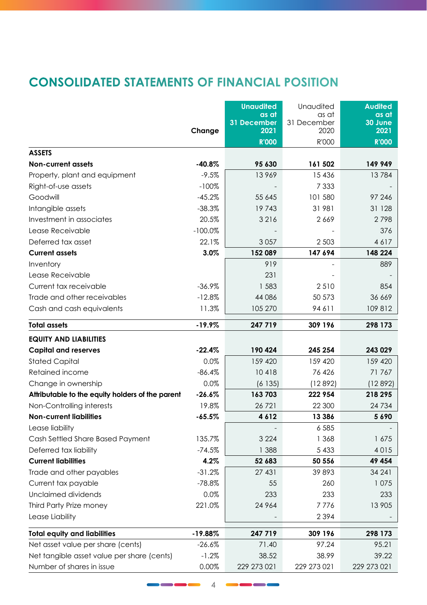## **CONSOLIDATED STATEMENTS OF FINANCIAL POSITION**

|                                                  |           | <b>Unaudited</b>    | Unaudited           | <b>Audited</b>  |
|--------------------------------------------------|-----------|---------------------|---------------------|-----------------|
|                                                  |           | as at               | as at               | as at           |
|                                                  | Change    | 31 December<br>2021 | 31 December<br>2020 | 30 June<br>2021 |
|                                                  |           | <b>R'000</b>        | R'000               | <b>R'000</b>    |
| <b>ASSETS</b>                                    |           |                     |                     |                 |
| <b>Non-current assets</b>                        | $-40.8%$  | 95 630              | 161 502             | 149 949         |
| Property, plant and equipment                    | $-9.5%$   | 13969               | 15 4 36             | 13784           |
| Right-of-use assets                              | $-100%$   |                     | 7 3 3 3             |                 |
| Goodwill                                         | $-45.2%$  | 55 645              | 101 580             | 97 246          |
| Intangible assets                                | $-38.3%$  | 19743               | 31 981              | 31 1 28         |
| Investment in associates                         | 20.5%     | 3216                | 2669                | 2798            |
| Lease Receivable                                 | $-100.0%$ |                     |                     | 376             |
| Deferred tax asset                               | 22.1%     | 3057                | 2 5 0 3             | 4617            |
| <b>Current assets</b>                            | 3.0%      | 152 089             | 147 694             | 148 224         |
| Inventory                                        |           | 919                 |                     | 889             |
| Lease Receivable                                 |           | 231                 |                     |                 |
| Current tax receivable                           | $-36.9%$  | 1583                | 2510                | 854             |
| Trade and other receivables                      | $-12.8%$  | 44 086              | 50 573              | 36 669          |
| Cash and cash equivalents                        | 11.3%     | 105 270             | 94611               | 109 812         |
| <b>Total assets</b>                              | $-19.9%$  | 247 719             | 309 196             | 298 173         |
| <b>EQUITY AND LIABILITIES</b>                    |           |                     |                     |                 |
| <b>Capital and reserves</b>                      | $-22.4%$  | 190 424             | 245 254             | 243 029         |
| <b>Stated Capital</b>                            | 0.0%      | 159 420             | 159 420             | 159 420         |
| Retained income                                  | $-86.4%$  | 10418               | 76 426              | 71767           |
| Change in ownership                              | 0.0%      | (6135)              | (12892)             | (12892)         |
| Attributable to the equity holders of the parent | $-26.6%$  | 163703              | 222 954             | 218 295         |
| Non-Controlling interests                        | 19.8%     | 26 7 21             | 22 300              | 24 7 34         |
| <b>Non-current liabilities</b>                   | $-65.5%$  | 4612                | 13 3 8 6            | 5690            |
| Lease liability                                  |           |                     | 6 5 8 5             |                 |
| Cash Settled Share Based Payment                 | 135.7%    | 3 2 2 4             | 1 3 6 8             | 1675            |
| Deferred tax liability                           | $-74.5%$  | 1 3 8 8             | 5433                | 4015            |
| <b>Current liabilities</b>                       | 4.2%      | 52 683              | 50 556              | 49 454          |
| Trade and other payables                         | $-31.2%$  | 27 431              | 39 893              | 34 24 1         |
| Current tax payable                              | $-78.8%$  | 55                  | 260                 | 1075            |
| Unclaimed dividends                              | 0.0%      | 233                 | 233                 | 233             |
| Third Party Prize money                          | 221.0%    | 24 964              | 7776                | 13 905          |
| Lease Liability                                  |           |                     | 2394                |                 |
| <b>Total equity and liabilities</b>              | $-19.88%$ | 247 719             | 309 196             | 298 173         |
| Net asset value per share (cents)                | $-26.6%$  | 71.40               | 97.24               | 95.21           |
| Net tangible asset value per share (cents)       | $-1.2%$   | 38.52               | 38.99               | 39.22           |
| Number of shares in issue                        | 0.00%     | 229 273 021         | 229 273 021         | 229 273 021     |

4

**In the Case of A**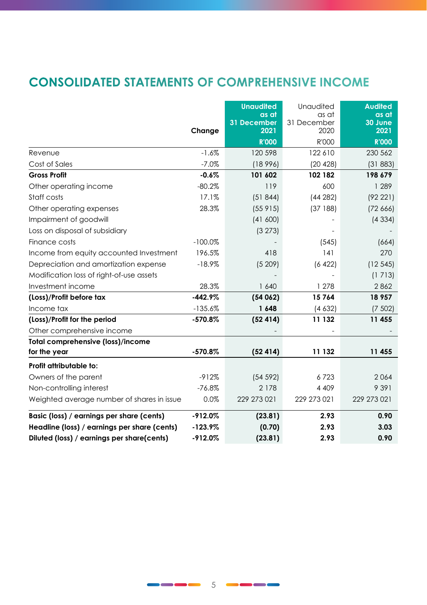## **CONSOLIDATED STATEMENTS OF COMPREHENSIVE INCOME**

|                                              |           | <b>Unaudited</b><br>as at<br>31 December<br>2021 | Unaudited<br>as at<br>31 December<br>2020 | <b>Audited</b><br>as at<br>30 June<br>2021 |
|----------------------------------------------|-----------|--------------------------------------------------|-------------------------------------------|--------------------------------------------|
|                                              | Change    | <b>R'000</b>                                     | R'000                                     | <b>R'000</b>                               |
| Revenue                                      | $-1.6%$   | 120 598                                          | 122 610                                   | 230 562                                    |
| Cost of Sales                                | $-7.0%$   | (18996)                                          | (20 428)                                  | (31883)                                    |
| <b>Gross Profit</b>                          | $-0.6%$   | 101 602                                          | 102 182                                   | 198 679                                    |
| Other operating income                       | $-80.2%$  | 119                                              | 600                                       | 1 2 8 9                                    |
| Staff costs                                  | 17.1%     | (51844)                                          | (44282)                                   | (92221)                                    |
| Other operating expenses                     | 28.3%     | (55915)                                          | (37188)                                   | (72, 666)                                  |
| Impairment of goodwill                       |           | (41 600)                                         |                                           | (4334)                                     |
| Loss on disposal of subsidiary               |           | (3 273)                                          |                                           |                                            |
| Finance costs                                | $-100.0%$ |                                                  | (545)                                     | (664)                                      |
| Income from equity accounted Investment      | 196.5%    | 418                                              | 4                                         | 270                                        |
| Depreciation and amortization expense        | $-18.9%$  | (5209)                                           | (6 422)                                   | (12545)                                    |
| Modification loss of right-of-use assets     |           |                                                  |                                           | (1713)                                     |
| Investment income                            | 28.3%     | 1 640                                            | 1 278                                     | 2862                                       |
| (Loss)/Profit before tax                     | $-442.9%$ | (54062)                                          | 15764                                     | 18 957                                     |
| Income tax                                   | $-135.6%$ | 1648                                             | (4632)                                    | (7, 502)                                   |
| (Loss)/Profit for the period                 | $-570.8%$ | (52414)                                          | 11 132                                    | 11 455                                     |
| Other comprehensive income                   |           |                                                  |                                           |                                            |
| <b>Total comprehensive (loss)/income</b>     |           |                                                  |                                           |                                            |
| for the year                                 | $-570.8%$ | (52414)                                          | 11 132                                    | 11 455                                     |
| Profit attributable to:                      |           |                                                  |                                           |                                            |
| Owners of the parent                         | $-912%$   | (54 592)                                         | 6723                                      | 2064                                       |
| Non-controlling interest                     | $-76.8%$  | 2 1 7 8                                          | 4 4 0 9                                   | 9 3 9 1                                    |
| Weighted average number of shares in issue   | 0.0%      | 229 273 021                                      | 229 273 021                               | 229 273 021                                |
| Basic (loss) / earnings per share (cents)    | $-912.0%$ | (23.81)                                          | 2.93                                      | 0.90                                       |
| Headline (loss) / earnings per share (cents) | $-123.9%$ | (0.70)                                           | 2.93                                      | 3.03                                       |
| Diluted (loss) / earnings per share(cents)   | $-912.0%$ | (23.81)                                          | 2.93                                      | 0.90                                       |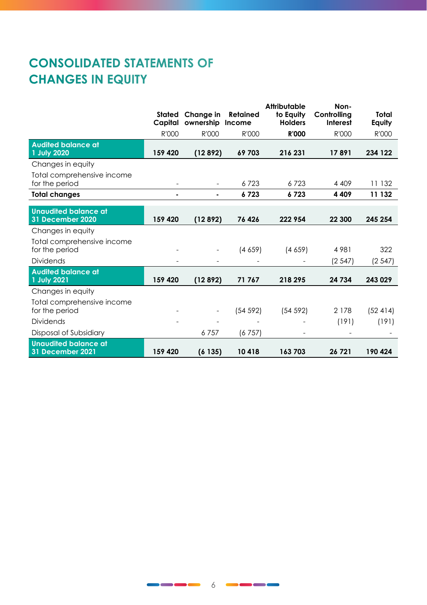# **CONSOLIDATED STATEMENTS OF CHANGES IN EQUITY**

|                                                 | Stated  | Change in | Retained | Attributable<br>to Equity | Non-<br>Controllina | Total   |
|-------------------------------------------------|---------|-----------|----------|---------------------------|---------------------|---------|
|                                                 | Capital | ownership | Income   | <b>Holders</b>            | Interest            | Equity  |
|                                                 | R'000   | R'000     | R'000    | <b>R'000</b>              | R'000               | R'000   |
| <b>Audited balance at</b><br>1 July 2020        | 159 420 | (12892)   | 69703    | 216 231                   | 17891               | 234 122 |
| Changes in equity                               |         |           |          |                           |                     |         |
| Total comprehensive income<br>for the period    |         |           | 6723     | 6723                      | 4 4 0 9             | 11 132  |
| <b>Total changes</b>                            |         |           | 6723     | 6723                      | 4 4 0 9             | 11 132  |
|                                                 |         |           |          |                           |                     |         |
| <b>Unaudited balance at</b><br>31 December 2020 | 159 420 | (12892)   | 76 426   | 222 954                   | 22 300              | 245 254 |
| Changes in equity                               |         |           |          |                           |                     |         |
| Total comprehensive income<br>for the period    |         |           | (4659)   | (4659)                    | 4981                | 322     |
| <b>Dividends</b>                                |         |           |          |                           | (2.547)             | (2547)  |
| <b>Audited balance at</b><br>1 July 2021        | 159 420 | (12892)   | 71 767   | 218 295                   | 24 734              | 243 029 |
| Changes in equity                               |         |           |          |                           |                     |         |
| Total comprehensive income<br>for the period    |         |           | (54 592) | (54 592)                  | 2 1 7 8             | (52414) |
| <b>Dividends</b>                                |         |           |          |                           | (191)               | (191)   |
| Disposal of Subsidiary                          |         | 6757      | (6757)   |                           |                     |         |
| <b>Unaudited balance at</b><br>31 December 2021 | 159 420 | (6135)    | 10418    | 163703                    | 26 721              | 190 424 |

 $\blacksquare$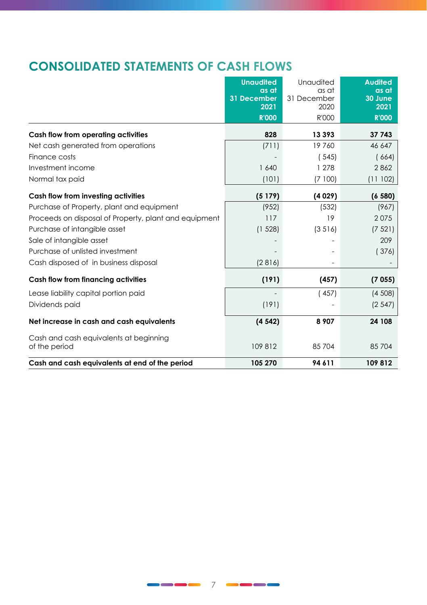## **CONSOLIDATED STATEMENTS OF CASH FLOWS**

|                                                         | <b>Unaudited</b>    | Unaudited           | <b>Audited</b>  |
|---------------------------------------------------------|---------------------|---------------------|-----------------|
|                                                         | as at               | as at               | as at           |
|                                                         | 31 December<br>2021 | 31 December<br>2020 | 30 June<br>2021 |
|                                                         | <b>R'000</b>        | R'000               | <b>R'000</b>    |
|                                                         |                     |                     |                 |
| Cash flow from operating activities                     | 828                 | 13 393              | 37 743          |
| Net cash generated from operations                      | (711)               | 19760               | 46 647          |
| Finance costs                                           |                     | (545)               | (664)           |
| Investment income                                       | 1 640               | 1 278               | 2862            |
| Normal tax paid                                         | (101)               | (7100)              | (11102)         |
| Cash flow from investing activities                     | (5179)              | (4029)              | (6580)          |
| Purchase of Property, plant and equipment               | (952)               | (532)               | (967)           |
| Proceeds on disposal of Property, plant and equipment   | 117                 | 19                  | 2075            |
| Purchase of intangible asset                            | (1 528)             | (3516)              | (7521)          |
| Sale of intangible asset                                |                     |                     | 209             |
| Purchase of unlisted investment                         |                     |                     | (376)           |
| Cash disposed of in business disposal                   | (2816)              |                     |                 |
| Cash flow from financing activities                     | (191)               | (457)               | (7055)          |
| Lease liability capital portion paid                    |                     | (457)               | (4508)          |
| Dividends paid                                          | (191)               |                     | (2547)          |
| Net increase in cash and cash equivalents               | (4542)              | 8 9 0 7             | 24 108          |
| Cash and cash equivalents at beginning<br>of the period | 109 812             | 85704               | 85 704          |
| Cash and cash equivalents at end of the period          | 105 270             | 94 611              | 109812          |

<u>an an an an</u>

 $\bullet$  and  $\bullet$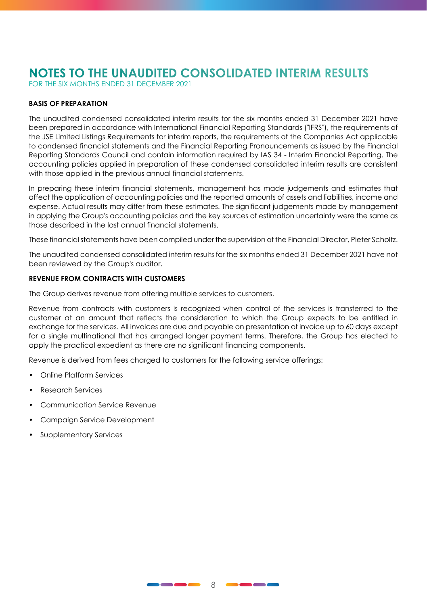FOR THE SIX MONTHS ENDED 31 DECEMBER 2021

#### **BASIS OF PREPARATION**

The unaudited condensed consolidated interim results for the six months ended 31 December 2021 have been prepared in accordance with International Financial Reporting Standards ("IFRS"), the requirements of the JSE Limited Listings Requirements for interim reports, the requirements of the Companies Act applicable to condensed financial statements and the Financial Reporting Pronouncements as issued by the Financial Reporting Standards Council and contain information required by IAS 34 - Interim Financial Reporting. The accounting policies applied in preparation of these condensed consolidated interim results are consistent with those applied in the previous annual financial statements.

In preparing these interim financial statements, management has made judgements and estimates that affect the application of accounting policies and the reported amounts of assets and liabilities, income and expense. Actual results may differ from these estimates. The significant judgements made by management in applying the Group's accounting policies and the key sources of estimation uncertainty were the same as those described in the last annual financial statements.

These financial statements have been compiled under the supervision of the Financial Director, Pieter Scholtz.

The unaudited condensed consolidated interim results for the six months ended 31 December 2021 have not been reviewed by the Group's auditor.

#### **REVENUE FROM CONTRACTS WITH CUSTOMERS**

The Group derives revenue from offering multiple services to customers.

Revenue from contracts with customers is recognized when control of the services is transferred to the customer at an amount that reflects the consideration to which the Group expects to be entitled in exchange for the services. All invoices are due and payable on presentation of invoice up to 60 days except for a single multinational that has arranged longer payment terms. Therefore, the Group has elected to apply the practical expedient as there are no significant financing components.

Revenue is derived from fees charged to customers for the following service offerings:

- Online Platform Services
- Research Services
- Communication Service Revenue
- Campaign Service Development
- Supplementary Services

\_\_\_\_\_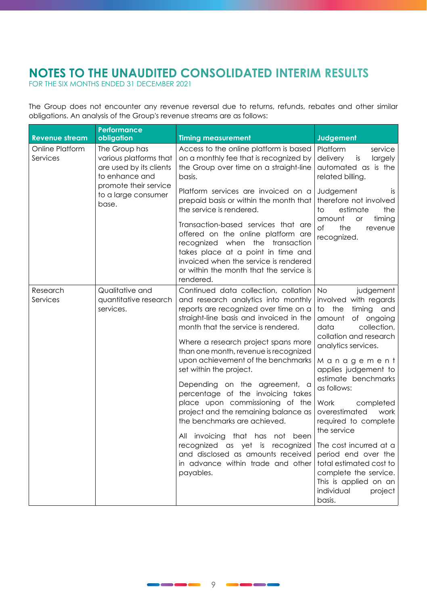FOR THE SIX MONTHS ENDED 31 DECEMBER 2021

The Group does not encounter any revenue reversal due to returns, refunds, rebates and other similar obligations. An analysis of the Group's revenue streams are as follows:

| <b>Revenue stream</b>       | Performance<br>obligation                                                            | <b>Timing measurement</b>                                                                                                                                                                                                                                                                                                                                                                                                                                                                                                                                                                                                                                                                             | Judgement                                                                                                                                                                                                                                                                                                                                                                                                                                                                                              |
|-----------------------------|--------------------------------------------------------------------------------------|-------------------------------------------------------------------------------------------------------------------------------------------------------------------------------------------------------------------------------------------------------------------------------------------------------------------------------------------------------------------------------------------------------------------------------------------------------------------------------------------------------------------------------------------------------------------------------------------------------------------------------------------------------------------------------------------------------|--------------------------------------------------------------------------------------------------------------------------------------------------------------------------------------------------------------------------------------------------------------------------------------------------------------------------------------------------------------------------------------------------------------------------------------------------------------------------------------------------------|
| Online Platform<br>Services | The Group has<br>various platforms that<br>are used by its clients<br>to enhance and | Access to the online platform is based<br>on a monthly fee that is recognized by<br>the Group over time on a straight-line<br>basis.                                                                                                                                                                                                                                                                                                                                                                                                                                                                                                                                                                  | Platform<br>service<br>is<br>delivery<br>largely<br>automated as is the<br>related billing.                                                                                                                                                                                                                                                                                                                                                                                                            |
|                             | promote their service<br>to a large consumer<br>base.                                | Platform services are invoiced on a<br>prepaid basis or within the month that<br>the service is rendered.                                                                                                                                                                                                                                                                                                                                                                                                                                                                                                                                                                                             | Judgement<br>is.<br>therefore not involved<br>estimate<br>to<br>the<br>amount<br>timing<br><b>or</b>                                                                                                                                                                                                                                                                                                                                                                                                   |
|                             |                                                                                      | Transaction-based services that are<br>offered on the online platform are<br>recognized when the transaction<br>takes place at a point in time and<br>invoiced when the service is rendered<br>or within the month that the service is<br>rendered.                                                                                                                                                                                                                                                                                                                                                                                                                                                   | оf<br>the<br>revenue<br>recognized.                                                                                                                                                                                                                                                                                                                                                                                                                                                                    |
| Research<br>Services        | Qualitative and<br>quantitative research<br>services.                                | Continued data collection, collation<br>and research analytics into monthly<br>reports are recognized over time on a<br>straight-line basis and invoiced in the<br>month that the service is rendered.<br>Where a research project spans more<br>than one month, revenue is recognized<br>upon achievement of the benchmarks<br>set within the project.<br>Depending on the agreement, a<br>percentage of the invoicing takes<br>place upon commissioning of the<br>project and the remaining balance as<br>the benchmarks are achieved.<br>All invoicing that has not been<br>recognized as yet is recognized<br>and disclosed as amounts received<br>in advance within trade and other<br>payables. | <b>No</b><br>judgement<br>involved with regards<br>to the<br>timing and<br>amount of ongoing<br>data<br>collection,<br>collation and research<br>analytics services.<br>Management<br>applies judgement to<br>estimate benchmarks<br>as follows:<br>Work<br>completed<br>overestimated<br>work<br>required to complete<br>the service<br>The cost incurred at a<br>period end over the<br>total estimated cost to<br>complete the service.<br>This is applied on an<br>individual<br>project<br>basis. |

----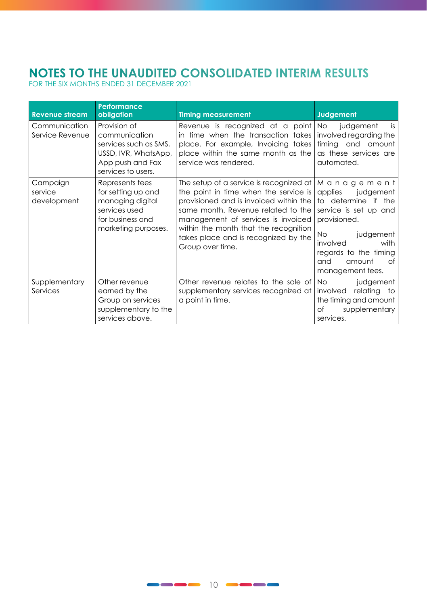# **NOTES TO THE UNAUDITED CONSOLIDATED INTERIM RESULTS**  FOR THE SIX MONTHS ENDED 31 DECEMBER 2021

| <b>Revenue stream</b>              | Performance<br>obligation                                                                                                | <b>Timing measurement</b>                                                                                                                                                                                                                                                                                   | Judgement                                                                                                                                                                                                       |
|------------------------------------|--------------------------------------------------------------------------------------------------------------------------|-------------------------------------------------------------------------------------------------------------------------------------------------------------------------------------------------------------------------------------------------------------------------------------------------------------|-----------------------------------------------------------------------------------------------------------------------------------------------------------------------------------------------------------------|
| Communication<br>Service Revenue   | Provision of<br>communication<br>services such as SMS.<br>USSD, IVR, WhatsApp,<br>App push and Fax<br>services to users. | Revenue is recognized at a point<br>in time when the transaction takes involved regarding the<br>place. For example, Invoicing takes timing and amount<br>place within the same month as the<br>service was rendered.                                                                                       | No.<br>judgement<br>is<br>as these services are<br>automated.                                                                                                                                                   |
| Campaign<br>service<br>development | Represents fees<br>for setting up and<br>managing digital<br>services used<br>for business and<br>marketing purposes.    | The setup of a service is recognized at<br>the point in time when the service is<br>provisioned and is invoiced within the<br>same month. Revenue related to the<br>management of services is invoiced<br>within the month that the recognition<br>takes place and is recognized by the<br>Group over time. | Management <br>applies<br>judgement<br>to determine if the<br>service is set up and<br>provisioned.<br>No.<br>judgement<br>involved<br>with<br>regards to the timing<br>and<br>Ωf<br>amount<br>management fees. |
| Supplementary<br>Services          | Other revenue<br>earned by the<br>Group on services<br>supplementary to the<br>services above.                           | Other revenue relates to the sale of<br>supplementary services recognized at<br>a point in time.                                                                                                                                                                                                            | <b>No</b><br>judgement<br>involved<br>relating to<br>the timing and amount<br>Оf<br>supplementary<br>services.                                                                                                  |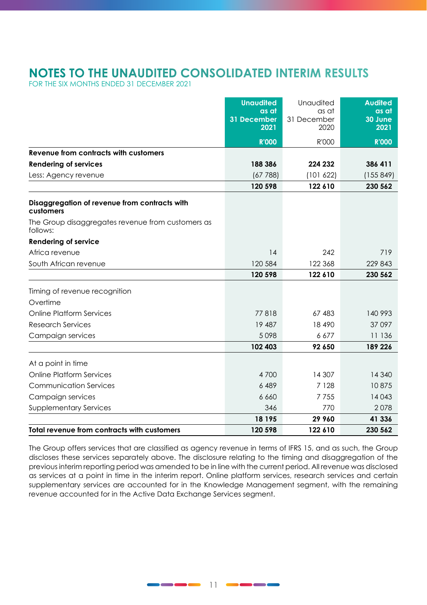FOR THE SIX MONTHS ENDED 31 DECEMBER 2021

|                                                               | <b>Unaudited</b>             | Unaudited                    | <b>Audited</b>           |
|---------------------------------------------------------------|------------------------------|------------------------------|--------------------------|
|                                                               | as at<br>31 December<br>2021 | as at<br>31 December<br>2020 | as at<br>30 June<br>2021 |
|                                                               | <b>R'000</b>                 | R'000                        | <b>R'000</b>             |
| Revenue from contracts with customers                         |                              |                              |                          |
| <b>Rendering of services</b>                                  | 188 386                      | 224 232                      | 386 411                  |
| Less: Agency revenue                                          | (67788)                      | (101 622)                    | (155849)                 |
|                                                               | 120 598                      | 122 610                      | 230 562                  |
| Disaggregation of revenue from contracts with<br>customers    |                              |                              |                          |
| The Group disaggregates revenue from customers as<br>follows: |                              |                              |                          |
| <b>Rendering of service</b>                                   |                              |                              |                          |
| Africa revenue                                                | 14                           | 242                          | 719                      |
| South African revenue                                         | 120 584                      | 122 368                      | 229 843                  |
|                                                               | 120 598                      | 122 610                      | 230 562                  |
| Timing of revenue recognition                                 |                              |                              |                          |
| Overtime                                                      |                              |                              |                          |
| Online Platform Services                                      | 77818                        | 67 483                       | 140 993                  |
| <b>Research Services</b>                                      | 19 487                       | 18 490                       | 37 097                   |
| Campaign services                                             | 5098                         | 6677                         | 11 136                   |
|                                                               | 102 403                      | 92 650                       | 189 226                  |
| At a point in time                                            |                              |                              |                          |
| Online Platform Services                                      | 4 700                        | 14 307                       | 14 340                   |
| <b>Communication Services</b>                                 | 6489                         | 7 1 2 8                      | 10875                    |
| Campaign services                                             | 6 6 6 0                      | 7755                         | 14043                    |
| <b>Supplementary Services</b>                                 | 346                          | 770                          | 2078                     |
|                                                               | 18 195                       | 29 960                       | 41 336                   |
| Total revenue from contracts with customers                   | 120 598                      | 122 610                      | 230 562                  |

The Group offers services that are classified as agency revenue in terms of IFRS 15, and as such, the Group discloses these services separately above. The disclosure relating to the timing and disaggregation of the previous interim reporting period was amended to be in line with the current period. All revenue was disclosed as services at a point in time in the interim report. Online platform services, research services and certain supplementary services are accounted for in the Knowledge Management segment, with the remaining revenue accounted for in the Active Data Exchange Services segment.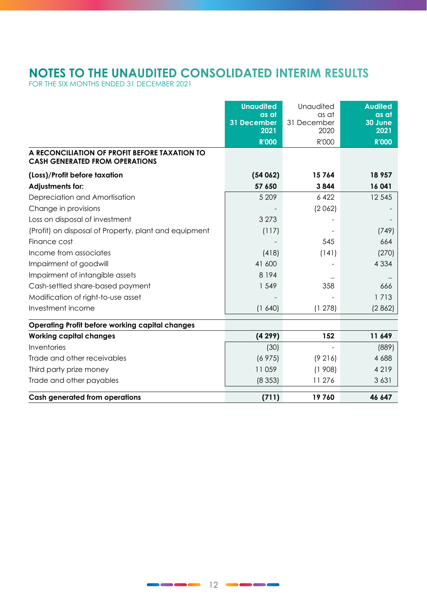# **NOTES TO THE UNAUDITED CONSOLIDATED INTERIM RESULTS**  FOR THE SIX MONTHS ENDED 31 DECEMBER 2021

|                                                                                        | <b>Unaudited</b>           | Unaudited           | <b>Audited</b>    |
|----------------------------------------------------------------------------------------|----------------------------|---------------------|-------------------|
|                                                                                        | as at                      | as at               | as at             |
|                                                                                        | <b>31 December</b><br>2021 | 31 December<br>2020 | $30$ June<br>2021 |
|                                                                                        |                            |                     |                   |
|                                                                                        | <b>R'000</b>               | R'000               | <b>R'000</b>      |
| A RECONCILIATION OF PROFIT BEFORE TAXATION TO<br><b>CASH GENERATED FROM OPERATIONS</b> |                            |                     |                   |
| (Loss)/Profit before taxation                                                          | (54062)                    | 15764               | 18 957            |
| <b>Adjustments for:</b>                                                                | 57 650                     | 3844                | 16 041            |
| Depreciation and Amortisation                                                          | 5 209                      | 6422                | 12 5 45           |
| Change in provisions                                                                   |                            | (2062)              |                   |
| Loss on disposal of investment                                                         | 3 2 7 3                    |                     |                   |
| (Profit) on disposal of Property, plant and equipment                                  | (117)                      |                     | (749)             |
| Finance cost                                                                           |                            | 545                 | 664               |
| Income from associates                                                                 | (418)                      | (141)               | (270)             |
| Impairment of goodwill                                                                 | 41 600                     |                     | 4 3 3 4           |
| Impairment of intangible assets                                                        | 8 1 9 4                    |                     |                   |
| Cash-settled share-based payment                                                       | 1 549                      | 358                 | 666               |
| Modification of right-to-use asset                                                     |                            |                     | 1 7 1 3           |
| Investment income                                                                      | (1640)                     | (1278)              | (2862)            |
| Operating Profit before working capital changes                                        |                            |                     |                   |
| <b>Working capital changes</b>                                                         | (4299)                     | 152                 | 11 649            |
| Inventories                                                                            | (30)                       |                     | (889)             |
| Trade and other receivables                                                            | (6975)                     | (9216)              | 4 6 8 8           |
| Third party prize money                                                                | 11059                      | (1908)              | 4 2 1 9           |
| Trade and other payables                                                               | (8353)                     | 11 276              | 3 6 3 1           |
| Cash generated from operations                                                         | (711)                      | 19760               | 46 647            |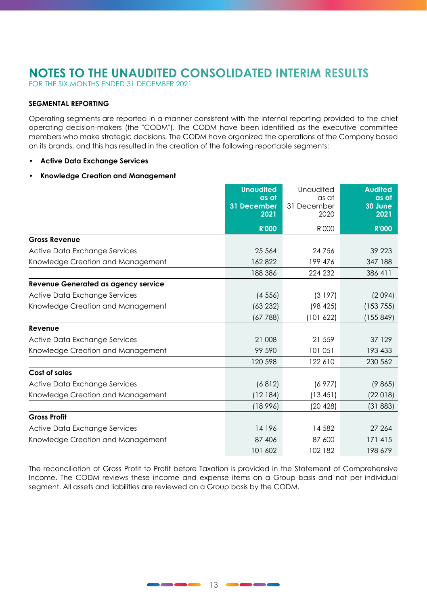FOR THE SIX MONTHS ENDED 31 DECEMBER 2021

#### **SEGMENTAL REPORTING**

Operating segments are reported in a manner consistent with the internal reporting provided to the chief operating decision-makers (the "CODM"). The CODM have been identified as the executive committee members who make strategic decisions. The CODM have organized the operations of the Company based on its brands, and this has resulted in the creation of the following reportable segments:

• **Active Data Exchange Services**

#### • **Knowledge Creation and Management**

|                                     | <b>Unaudited</b><br>as at<br>31 December<br>2021 | Unaudited<br>as at<br>31 December<br>2020 | <b>Audited</b><br>as at<br>30 June<br>2021 |
|-------------------------------------|--------------------------------------------------|-------------------------------------------|--------------------------------------------|
|                                     | <b>R'000</b>                                     | R'000                                     | <b>R'000</b>                               |
| <b>Gross Revenue</b>                |                                                  |                                           |                                            |
| Active Data Exchange Services       | 25 5 6 4                                         | 24 756                                    | 39 2 23                                    |
| Knowledge Creation and Management   | 162822                                           | 199 476                                   | 347 188                                    |
|                                     | 188 386                                          | 224 232                                   | 386 411                                    |
| Revenue Generated as agency service |                                                  |                                           |                                            |
| Active Data Exchange Services       | (4556)                                           | (3197)                                    | (2094)                                     |
| Knowledge Creation and Management   | (63 232)                                         | (98 425)                                  | (153755)                                   |
|                                     | (67788)                                          | (101 622)                                 | (155849)                                   |
| Revenue                             |                                                  |                                           |                                            |
| Active Data Exchange Services       | 21 008                                           | 21 559                                    | 37 129                                     |
| Knowledge Creation and Management   | 99 590                                           | 101 051                                   | 193 433                                    |
|                                     | 120 598                                          | 122 610                                   | 230 562                                    |
| Cost of sales                       |                                                  |                                           |                                            |
| Active Data Exchange Services       | (6812)                                           | (6977)                                    | (9865)                                     |
| Knowledge Creation and Management   | (12184)                                          | (13451)                                   | (22018)                                    |
|                                     | (18996)                                          | (20 428)                                  | (31883)                                    |
| <b>Gross Profit</b>                 |                                                  |                                           |                                            |
| Active Data Exchange Services       | 14 196                                           | 14 582                                    | 27 264                                     |
| Knowledge Creation and Management   | 87 406                                           | 87 600                                    | 171 415                                    |
|                                     | 101 602                                          | 102 182                                   | 198 679                                    |

The reconciliation of Gross Profit to Profit before Taxation is provided in the Statement of Comprehensive Income. The CODM reviews these income and expense items on a Group basis and not per individual segment. All assets and liabilities are reviewed on a Group basis by the CODM.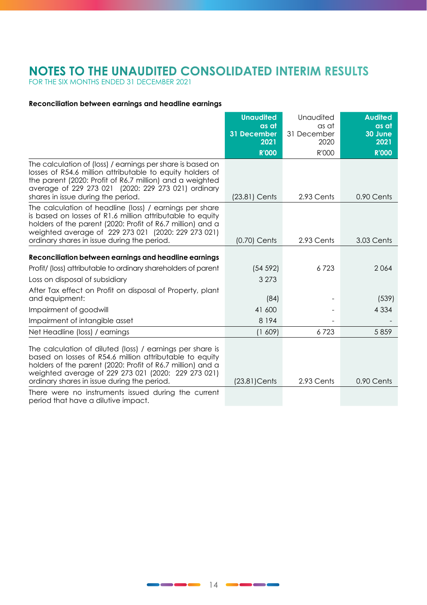# **NOTES TO THE UNAUDITED CONSOLIDATED INTERIM RESULTS**  FOR THE SIX MONTHS ENDED 31 DECEMBER 2021

#### **Reconciliation between earnings and headline earnings**

|                                                                                                                                                                                                                                                                                          | <b>Unaudited</b><br>as at | Unaudited<br>as at  | <b>Audited</b><br>as at |
|------------------------------------------------------------------------------------------------------------------------------------------------------------------------------------------------------------------------------------------------------------------------------------------|---------------------------|---------------------|-------------------------|
|                                                                                                                                                                                                                                                                                          | 31 December<br>2021       | 31 December<br>2020 | 30 June<br>2021         |
|                                                                                                                                                                                                                                                                                          | <b>R'000</b>              | R'000               | <b>R'000</b>            |
| The calculation of (loss) / earnings per share is based on<br>losses of R54.6 million attributable to equity holders of<br>the parent (2020; Profit of R6.7 million) and a weighted<br>average of 229 273 021 (2020: 229 273 021) ordinary<br>shares in issue during the period.         | (23.81) Cents             | 2.93 Cents          | 0.90 Cents              |
| The calculation of headline (loss) / earnings per share<br>is based on losses of R1.6 million attributable to equity<br>holders of the parent (2020: Profit of R6.7 million) and a<br>weighted average of 229 273 021 (2020: 229 273 021)<br>ordinary shares in issue during the period. | $(0.70)$ Cents            | 2.93 Cents          | 3.03 Cents              |
| Reconciliation between earnings and headline earnings                                                                                                                                                                                                                                    |                           |                     |                         |
| Profit/ (loss) attributable to ordinary shareholders of parent                                                                                                                                                                                                                           | (54 592)                  | 6723                | 2064                    |
| Loss on disposal of subsidiary                                                                                                                                                                                                                                                           | 3 2 7 3                   |                     |                         |
| After Tax effect on Profit on disposal of Property, plant<br>and equipment:                                                                                                                                                                                                              | (84)                      |                     | (539)                   |
| Impairment of goodwill                                                                                                                                                                                                                                                                   | 41 600                    |                     | 4 3 3 4                 |
| Impairment of intangible asset                                                                                                                                                                                                                                                           | 8 1 9 4                   |                     |                         |
| Net Headline (loss) / earnings                                                                                                                                                                                                                                                           | (1 609)                   | 6723                | 5859                    |
| The calculation of diluted (loss) / earnings per share is<br>based on losses of R54.6 million attributable to equity<br>holders of the parent (2020: Profit of R6.7 million) and a<br>weighted average of 229 273 021 (2020: 229 273 021)<br>ordinary shares in issue during the period. | $(23.81)$ Cents           | 2.93 Cents          | 0.90 Cents              |
| There were no instruments issued during the current<br>period that have a dilutive impact.                                                                                                                                                                                               |                           |                     |                         |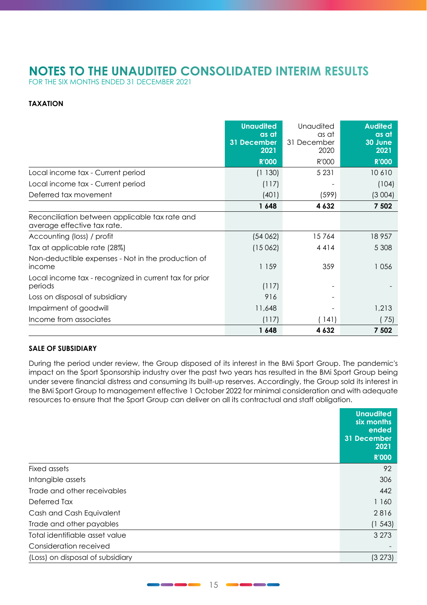FOR THE SIX MONTHS ENDED 31 DECEMBER 2021

#### **TAXATION**

|                                                                               | <b>Unaudited</b><br>as at<br>31 December<br>2021 | Unaudited<br>as at<br>31 December<br>2020 | <b>Audited</b><br>as at<br>30 June<br>2021 |
|-------------------------------------------------------------------------------|--------------------------------------------------|-------------------------------------------|--------------------------------------------|
|                                                                               | <b>R'000</b>                                     | R'000                                     | <b>R'000</b>                               |
| Local income tax - Current period                                             | (1130)                                           | 5 2 3 1                                   | 10610                                      |
| Local income tax - Current period                                             | (117)                                            |                                           | (104)                                      |
| Deferred tax movement                                                         | (401)                                            | (599)                                     | (3004)                                     |
|                                                                               | 1648                                             | 4 6 3 2                                   | 7 502                                      |
| Reconciliation between applicable tax rate and<br>average effective tax rate. |                                                  |                                           |                                            |
| Accounting (loss) / profit                                                    | (54062)                                          | 15764                                     | 18957                                      |
| Tax at applicable rate (28%)                                                  | (15062)                                          | 4414                                      | 5 3 0 8                                    |
| Non-deductible expenses - Not in the production of<br>income                  | 1 1 5 9                                          | 359                                       | 1056                                       |
| Local income tax - recognized in current tax for prior<br>periods             | (117)                                            |                                           |                                            |
| Loss on disposal of subsidiary                                                | 916                                              |                                           |                                            |
| Impairment of goodwill                                                        | 11,648                                           |                                           | 1,213                                      |
| Income from associates                                                        | (117)                                            | (141)                                     | (75)                                       |
|                                                                               | 1648                                             | 4 6 3 2                                   | 7 5 0 2                                    |

#### **SALE OF SUBSIDIARY**

During the period under review, the Group disposed of its interest in the BMi Sport Group. The pandemic's impact on the Sport Sponsorship industry over the past two years has resulted in the BMi Sport Group being under severe financial distress and consuming its built-up reserves. Accordingly, the Group sold its interest in the BMi Sport Group to management effective 1 October 2022 for minimal consideration and with adequate resources to ensure that the Sport Group can deliver on all its contractual and staff obligation.

|                                  | <b>Unaudited</b><br>six months<br>ended<br>31 December<br>2021 |
|----------------------------------|----------------------------------------------------------------|
|                                  | <b>R'000</b>                                                   |
| Fixed assets                     | 92                                                             |
| Intangible assets                | 306                                                            |
| Trade and other receivables      | 442                                                            |
| Deferred Tax                     | 1 1 6 0                                                        |
| Cash and Cash Equivalent         | 2816                                                           |
| Trade and other payables         | (1, 543)                                                       |
| Total identifiable asset value   | 3 2 7 3                                                        |
| Consideration received           |                                                                |
| (Loss) on disposal of subsidiary | (3 273)                                                        |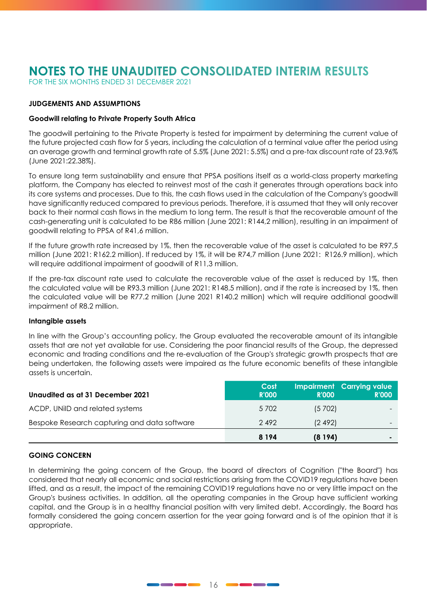FOR THE SIX MONTHS ENDED 31 DECEMBER 2021

#### **JUDGEMENTS AND ASSUMPTIONS**

#### **Goodwill relating to Private Property South Africa**

The goodwill pertaining to the Private Property is tested for impairment by determining the current value of the future projected cash flow for 5 years, including the calculation of a terminal value after the period using an average growth and terminal growth rate of 5.5% (June 2021: 5.5%) and a pre-tax discount rate of 23.96% (June 2021:22.38%).

To ensure long term sustainability and ensure that PPSA positions itself as a world-class property marketing platform, the Company has elected to reinvest most of the cash it generates through operations back into its core systems and processes. Due to this, the cash flows used in the calculation of the Company's goodwill have significantly reduced compared to previous periods. Therefore, it is assumed that they will only recover back to their normal cash flows in the medium to long term. The result is that the recoverable amount of the cash-generating unit is calculated to be R86 million (June 2021: R144,2 million), resulting in an impairment of goodwill relating to PPSA of R41,6 million.

If the future growth rate increased by 1%, then the recoverable value of the asset is calculated to be R97,5 million (June 2021: R162.2 million). If reduced by 1%, it will be R74,7 million (June 2021: R126.9 million), which will require additional impairment of goodwill of R11,3 million.

If the pre-tax discount rate used to calculate the recoverable value of the asset is reduced by 1%, then the calculated value will be R93.3 million (June 2021: R148.5 million), and if the rate is increased by 1%, then the calculated value will be R77.2 million (June 2021 R140.2 million) which will require additional goodwill impairment of R8.2 million.

#### **Intangible assets**

In line with the Group's accounting policy, the Group evaluated the recoverable amount of its intangible assets that are not yet available for use. Considering the poor financial results of the Group, the depressed economic and trading conditions and the re-evaluation of the Group's strategic growth prospects that are being undertaken, the following assets were impaired as the future economic benefits of these intangible assets is uncertain.

| Unaudited as at 31 December 2021             | Cost<br><b>R'000</b> | <b>R'000</b> | Impairment Carrying value<br><b>R'000</b> |
|----------------------------------------------|----------------------|--------------|-------------------------------------------|
| ACDP, UNIID and related systems              | 5 702                | (5702)       | $\sim$                                    |
| Bespoke Research capturing and data software | 2492                 | (2.492)      |                                           |
|                                              | 8 1 9 4              | (8194)       | $\blacksquare$                            |

#### **GOING CONCERN**

In determining the going concern of the Group, the board of directors of Cognition ("the Board") has considered that nearly all economic and social restrictions arising from the COVID19 regulations have been lifted, and as a result, the impact of the remaining COVID19 regulations have no or very little impact on the Group's business activities. In addition, all the operating companies in the Group have sufficient working capital, and the Group is in a healthy financial position with very limited debt. Accordingly, the Board has formally considered the going concern assertion for the year going forward and is of the opinion that it is appropriate.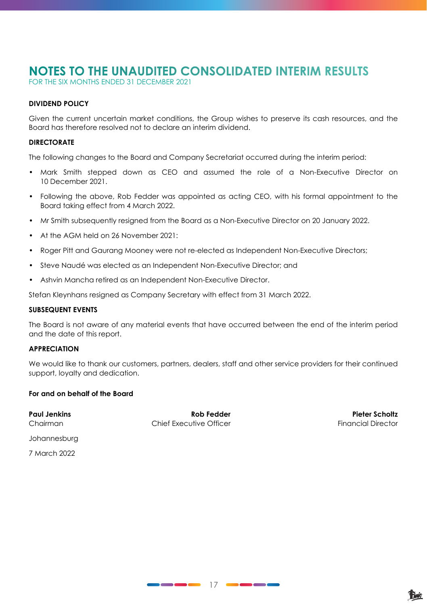FOR THE SIX MONTHS ENDED 31 DECEMBER 2021

#### **DIVIDEND POLICY**

Given the current uncertain market conditions, the Group wishes to preserve its cash resources, and the Board has therefore resolved not to declare an interim dividend.

#### **DIRECTORATE**

The following changes to the Board and Company Secretariat occurred during the interim period:

- Mark Smith stepped down as CEO and assumed the role of a Non-Executive Director on 10 December 2021.
- Following the above, Rob Fedder was appointed as acting CEO, with his formal appointment to the Board taking effect from 4 March 2022.
- Mr Smith subsequently resigned from the Board as a Non-Executive Director on 20 January 2022.
- At the AGM held on 26 November 2021:
- Roger Pitt and Gaurang Mooney were not re-elected as Independent Non-Executive Directors;
- Steve Naudé was elected as an Independent Non-Executive Director; and
- Ashvin Mancha retired as an Independent Non-Executive Director.

Stefan Kleynhans resigned as Company Secretary with effect from 31 March 2022.

#### **SUBSEQUENT EVENTS**

The Board is not aware of any material events that have occurred between the end of the interim period and the date of this report.

#### **APPRECIATION**

We would like to thank our customers, partners, dealers, staff and other service providers for their continued support, loyalty and dedication.

#### **For and on behalf of the Board**

**Paul Jenkins Rob Fedder Pieter Scholtz** Chairman Chief Executive Officer Chairman Financial Director

Johannesburg

7 March 2022